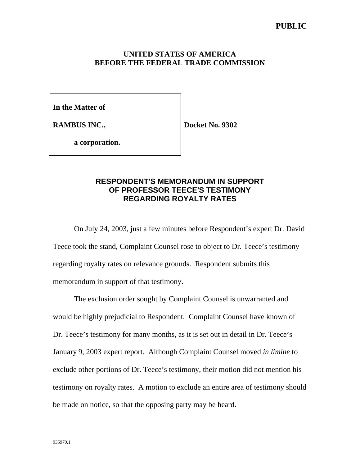## **UNITED STATES OF AMERICA BEFORE THE FEDERAL TRADE COMMISSION**

**In the Matter of**

**RAMBUS INC.,**

**Docket No. 9302**

**a corporation.**

## **RESPONDENT'S MEMORANDUM IN SUPPORT OF PROFESSOR TEECE'S TESTIMONY REGARDING ROYALTY RATES**

On July 24, 2003, just a few minutes before Respondent's expert Dr. David Teece took the stand, Complaint Counsel rose to object to Dr. Teece's testimony regarding royalty rates on relevance grounds. Respondent submits this memorandum in support of that testimony.

The exclusion order sought by Complaint Counsel is unwarranted and would be highly prejudicial to Respondent. Complaint Counsel have known of Dr. Teece's testimony for many months, as it is set out in detail in Dr. Teece's January 9, 2003 expert report. Although Complaint Counsel moved *in limine* to exclude other portions of Dr. Teece's testimony, their motion did not mention his testimony on royalty rates. A motion to exclude an entire area of testimony should be made on notice, so that the opposing party may be heard.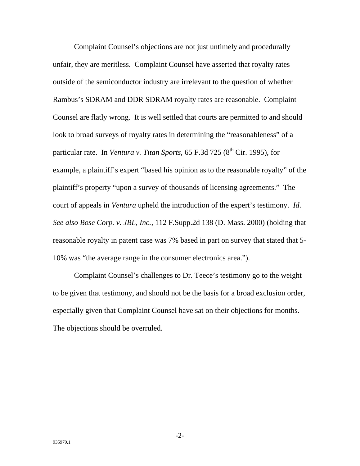Complaint Counsel's objections are not just untimely and procedurally unfair, they are meritless. Complaint Counsel have asserted that royalty rates outside of the semiconductor industry are irrelevant to the question of whether Rambus's SDRAM and DDR SDRAM royalty rates are reasonable. Complaint Counsel are flatly wrong. It is well settled that courts are permitted to and should look to broad surveys of royalty rates in determining the "reasonableness" of a particular rate. In *Ventura v. Titan Sports*,  $65$  F.3d  $725$  ( $8<sup>th</sup>$  Cir. 1995), for example, a plaintiff's expert "based his opinion as to the reasonable royalty" of the plaintiff's property "upon a survey of thousands of licensing agreements." The court of appeals in *Ventura* upheld the introduction of the expert's testimony. *Id. See also Bose Corp. v. JBL, Inc.*, 112 F.Supp.2d 138 (D. Mass. 2000) (holding that reasonable royalty in patent case was 7% based in part on survey that stated that 5- 10% was "the average range in the consumer electronics area.").

Complaint Counsel's challenges to Dr. Teece's testimony go to the weight to be given that testimony, and should not be the basis for a broad exclusion order, especially given that Complaint Counsel have sat on their objections for months. The objections should be overruled.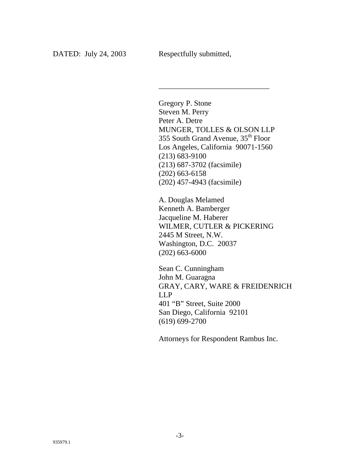Gregory P. Stone Steven M. Perry Peter A. Detre MUNGER, TOLLES & OLSON LLP 355 South Grand Avenue, 35th Floor Los Angeles, California 90071-1560 (213) 683-9100 (213) 687-3702 (facsimile) (202) 663-6158 (202) 457-4943 (facsimile)

\_\_\_\_\_\_\_\_\_\_\_\_\_\_\_\_\_\_\_\_\_\_\_\_\_\_\_\_\_

A. Douglas Melamed Kenneth A. Bamberger Jacqueline M. Haberer WILMER, CUTLER & PICKERING 2445 M Street, N.W. Washington, D.C. 20037 (202) 663-6000

Sean C. Cunningham John M. Guaragna GRAY, CARY, WARE & FREIDENRICH LLP 401 "B" Street, Suite 2000 San Diego, California 92101 (619) 699-2700

Attorneys for Respondent Rambus Inc.